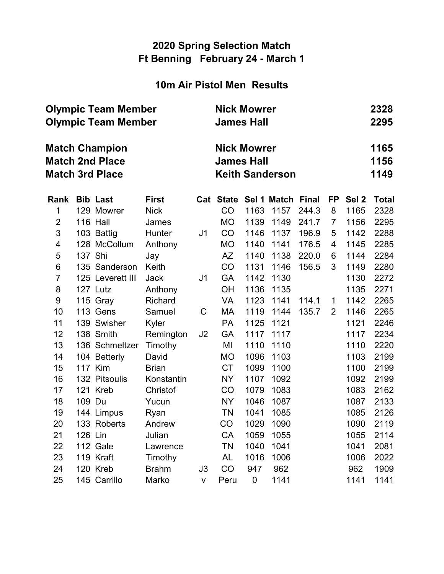### 10m Air Pistol Men Results

|      | <b>Olympic Team Member</b><br><b>Olympic Team Member</b> |                                                                           |              |                                                                   |           |           | <b>Nick Mowrer</b><br><b>James Hall</b> |       |           |                  |              |  |  |  |
|------|----------------------------------------------------------|---------------------------------------------------------------------------|--------------|-------------------------------------------------------------------|-----------|-----------|-----------------------------------------|-------|-----------|------------------|--------------|--|--|--|
|      |                                                          | <b>Match Champion</b><br><b>Match 2nd Place</b><br><b>Match 3rd Place</b> |              | <b>Nick Mowrer</b><br><b>James Hall</b><br><b>Keith Sanderson</b> |           |           |                                         |       |           |                  |              |  |  |  |
| Rank |                                                          | <b>Bib Last</b>                                                           | <b>First</b> |                                                                   | Cat State |           | Sel 1 Match Final                       |       | <b>FP</b> | Sel <sub>2</sub> | <b>Total</b> |  |  |  |
| 1    |                                                          | 129 Mowrer                                                                | <b>Nick</b>  |                                                                   | CO        | 1163      | 1157                                    | 244.3 | 8         | 1165             | 2328         |  |  |  |
| 2    |                                                          | <b>116 Hall</b>                                                           | James        |                                                                   | <b>MO</b> | 1139      | 1149                                    | 241.7 | 7         | 1156             | 2295         |  |  |  |
| 3    |                                                          | 103 Battig                                                                | Hunter       | J <sub>1</sub>                                                    | CO        | 1146      | 1137                                    | 196.9 | 5         | 1142             | 2288         |  |  |  |
| 4    |                                                          | 128 McCollum                                                              | Anthony      |                                                                   | MO        | 1140      | 1141                                    | 176.5 | 4         | 1145             | 2285         |  |  |  |
| 5    | 137 Shi                                                  |                                                                           | Jay          |                                                                   | AZ        | 1140      | 1138                                    | 220.0 | 6         | 1144             | 2284         |  |  |  |
| 6    |                                                          | 135 Sanderson                                                             | Keith        |                                                                   | CO        | 1131      | 1146                                    | 156.5 | 3         | 1149             | 2280         |  |  |  |
| 7    |                                                          | 125 Leverett III                                                          | <b>Jack</b>  | J <sub>1</sub>                                                    | <b>GA</b> | 1142      | 1130                                    |       |           | 1130             | 2272         |  |  |  |
| 8    |                                                          | 127 Lutz                                                                  | Anthony      |                                                                   | <b>OH</b> | 1136      | 1135                                    |       |           | 1135             | 2271         |  |  |  |
| 9    |                                                          | 115 Gray                                                                  | Richard      |                                                                   | <b>VA</b> | 1123      | 1141                                    | 114.1 | 1         | 1142             | 2265         |  |  |  |
| 10   |                                                          | 113 Gens                                                                  | Samuel       | C                                                                 | МA        | 1119      | 1144                                    | 135.7 | 2         | 1146             | 2265         |  |  |  |
| 11   |                                                          | 139 Swisher                                                               | Kyler        |                                                                   | <b>PA</b> | 1125      | 1121                                    |       |           | 1121             | 2246         |  |  |  |
| 12   |                                                          | 138 Smith                                                                 | Remington    | J2                                                                | <b>GA</b> | 1117      | 1117                                    |       |           | 1117             | 2234         |  |  |  |
| 13   |                                                          | 136 Schmeltzer                                                            | Timothy      |                                                                   | MI        | 1110      | 1110                                    |       |           | 1110             | 2220         |  |  |  |
| 14   |                                                          | 104 Betterly                                                              | David        |                                                                   | <b>MO</b> | 1096      | 1103                                    |       |           | 1103             | 2199         |  |  |  |
| 15   |                                                          | <b>117 Kim</b>                                                            | <b>Brian</b> |                                                                   | <b>CT</b> | 1099      | 1100                                    |       |           | 1100             | 2199         |  |  |  |
| 16   |                                                          | 132 Pitsoulis                                                             | Konstantin   |                                                                   | <b>NY</b> | 1107      | 1092                                    |       |           | 1092             | 2199         |  |  |  |
| 17   |                                                          | 121 Kreb                                                                  | Christof     |                                                                   | CO        | 1079      | 1083                                    |       |           | 1083             | 2162         |  |  |  |
| 18   | 109 Du                                                   |                                                                           | Yucun        |                                                                   | <b>NY</b> | 1046      | 1087                                    |       |           | 1087             | 2133         |  |  |  |
| 19   |                                                          | 144 Limpus                                                                | Ryan         |                                                                   | ΤN        | 1041      | 1085                                    |       |           | 1085             | 2126         |  |  |  |
| 20   |                                                          | 133 Roberts                                                               | Andrew       |                                                                   | CO        | 1029      | 1090                                    |       |           | 1090             | 2119         |  |  |  |
| 21   | 126 Lin                                                  |                                                                           | Julian       |                                                                   | CA        | 1059      | 1055                                    |       |           | 1055             | 2114         |  |  |  |
| 22   |                                                          | 112 Gale                                                                  | Lawrence     |                                                                   | TN        | 1040      | 1041                                    |       |           | 1041             | 2081         |  |  |  |
| 23   |                                                          | 119 Kraft                                                                 | Timothy      |                                                                   | AL        | 1016      | 1006                                    |       |           | 1006             | 2022         |  |  |  |
| 24   |                                                          | 120 Kreb                                                                  | <b>Brahm</b> | J3                                                                | CO        | 947       | 962                                     |       |           | 962              | 1909         |  |  |  |
| 25   |                                                          | 145 Carrillo                                                              | Marko        | V                                                                 | Peru      | $\pmb{0}$ | 1141                                    |       |           | 1141             | 1141         |  |  |  |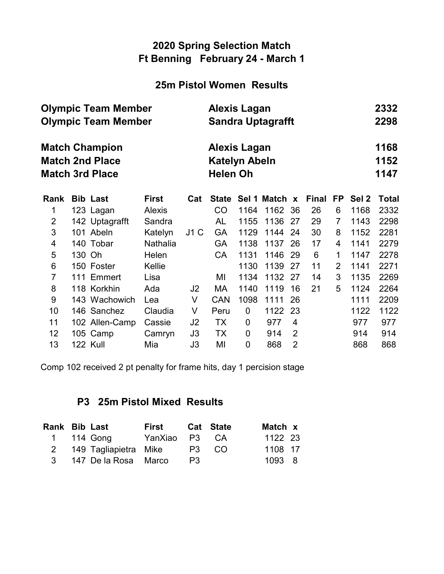#### 25m Pistol Women Results

|                            | <b>Olympic Team Member</b> |                        | <b>Alexis Lagan</b> |      |                          |      |             |                |              |                |                  |              |  |
|----------------------------|----------------------------|------------------------|---------------------|------|--------------------------|------|-------------|----------------|--------------|----------------|------------------|--------------|--|
| <b>Olympic Team Member</b> |                            |                        |                     |      | <b>Sandra Uptagrafft</b> |      |             |                |              |                |                  |              |  |
|                            |                            | <b>Match Champion</b>  | Alexis Lagan        |      |                          |      |             |                |              |                |                  |              |  |
|                            |                            | <b>Match 2nd Place</b> |                     |      | <b>Katelyn Abeln</b>     |      |             |                |              |                |                  | 1152         |  |
|                            |                            | <b>Match 3rd Place</b> |                     |      | <b>Helen Oh</b>          |      |             |                |              |                |                  |              |  |
| Rank                       |                            | <b>Bib Last</b>        | <b>First</b>        | Cat  | <b>State</b>             |      | Sel 1 Match | $\mathbf{x}$   | <b>Final</b> | FP.            | Sel <sub>2</sub> | <b>Total</b> |  |
| 1                          |                            | 123 Lagan              | Alexis              |      | CO                       | 1164 | 1162        | 36             | 26           | 6              | 1168             | 2332         |  |
| $\overline{2}$             |                            | 142 Uptagrafft         | Sandra              |      | AL                       | 1155 | 1136        | 27             | 29           | 7              | 1143             | 2298         |  |
| 3                          |                            | 101 Abeln              | Katelyn             | J1 C | GA                       | 1129 | 1144        | 24             | 30           | 8              | 1152             | 2281         |  |
| 4                          |                            | 140 Tobar              | Nathalia            |      | GA                       | 1138 | 1137        | 26             | 17           | 4              | 1141             | 2279         |  |
| 5                          | 130 Oh                     |                        | Helen               |      | <b>CA</b>                | 1131 | 1146        | 29             | 6            | 1              | 1147             | 2278         |  |
| 6                          |                            | 150 Foster             | Kellie              |      |                          | 1130 | 1139        | 27             | 11           | $\overline{2}$ | 1141             | 2271         |  |
| $\overline{7}$             |                            | 111 Emmert             | Lisa                |      | MI                       | 1134 | 1132        | 27             | 14           | 3              | 1135             | 2269         |  |
| 8                          |                            | 118 Korkhin            | Ada                 | J2   | МA                       | 1140 | 1119        | 16             | 21           | 5              | 1124             | 2264         |  |
| 9                          |                            | 143 Wachowich          | Lea                 | V    | <b>CAN</b>               | 1098 | 1111        | 26             |              |                | 1111             | 2209         |  |
| 10                         |                            | 146 Sanchez            | Claudia             | V    | Peru                     | 0    | 1122        | 23             |              |                | 1122             | 1122         |  |
| 11                         |                            | 102 Allen-Camp         | Cassie              | J2   | TX                       | 0    | 977         | 4              |              |                | 977              | 977          |  |
| 12                         |                            | 105 Camp               | Camryn              | J3   | TX                       | 0    | 914         | 2              |              |                | 914              | 914          |  |
| 13                         |                            | <b>122 Kull</b>        | Mia                 | J3   | MI                       | 0    | 868         | $\overline{2}$ |              |                | 868              | 868          |  |

Comp 102 received 2 pt penalty for frame hits, day 1 percision stage

### P3 25m Pistol Mixed Results

| Rank Bib Last |                         | First         |       | <b>Cat State</b> | Match x |
|---------------|-------------------------|---------------|-------|------------------|---------|
|               | 1 114 Gong              | YanXiao P3 CA |       |                  | 1122 23 |
|               | 2 149 Tagliapietra Mike |               | P3 CO |                  | 1108 17 |
|               | 3 147 De la Rosa Marco  |               | P3    |                  | 1093 8  |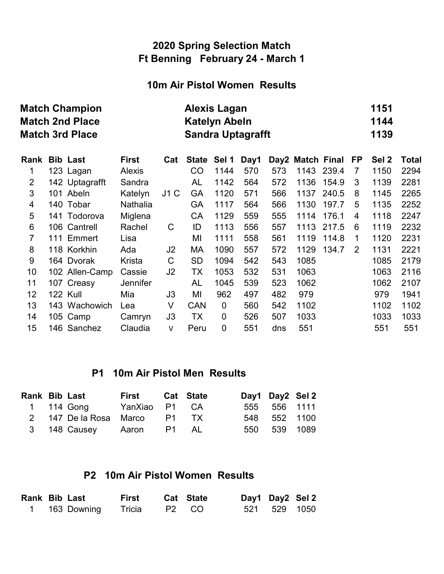#### 10m Air Pistol Women Results

|                | <b>Match Champion</b><br><b>Match 2nd Place</b><br><b>Match 3rd Place</b> | <b>Alexis Lagan</b><br><b>Katelyn Abeln</b><br><b>Sandra Uptagrafft</b> | 1151<br>1144<br>1139 |                |              |             |      |     |                  |       |    |       |              |
|----------------|---------------------------------------------------------------------------|-------------------------------------------------------------------------|----------------------|----------------|--------------|-------------|------|-----|------------------|-------|----|-------|--------------|
| Rank           |                                                                           | <b>Bib Last</b>                                                         | <b>First</b>         | Cat            | <b>State</b> | Sel 1       | Day1 |     | Day2 Match Final |       | FP | Sel 2 | <b>Total</b> |
| 1              |                                                                           | 123 Lagan                                                               | <b>Alexis</b>        |                | CO           | 1144        | 570  | 573 | 1143             | 239.4 | 7  | 1150  | 2294         |
| $\overline{2}$ |                                                                           | 142 Uptagrafft                                                          | Sandra               |                | AL           | 1142        | 564  | 572 | 1136             | 154.9 | 3  | 1139  | 2281         |
| 3              |                                                                           | 101 Abeln                                                               | Katelyn              | J1C            | <b>GA</b>    | 1120        | 571  | 566 | 1137             | 240.5 | 8  | 1145  | 2265         |
| $\overline{4}$ |                                                                           | 140 Tobar                                                               | Nathalia             |                | GA           | 1117        | 564  | 566 | 1130             | 197.7 | 5  | 1135  | 2252         |
| 5              |                                                                           | 141 Todorova                                                            | Miglena              |                | CA           | 1129        | 559  | 555 | 1114             | 176.1 | 4  | 1118  | 2247         |
| 6              |                                                                           | 106 Cantrell                                                            | Rachel               | C              | ID           | 1113        | 556  | 557 | 1113             | 217.5 | 6  | 1119  | 2232         |
| 7              |                                                                           | 111 Emmert                                                              | Lisa                 |                | MI           | 1111        | 558  | 561 | 1119             | 114.8 | 1  | 1120  | 2231         |
| 8              |                                                                           | 118 Korkhin                                                             | Ada                  | J2             | МA           | 1090        | 557  | 572 | 1129             | 134.7 | 2  | 1131  | 2221         |
| 9              |                                                                           | 164 Dvorak                                                              | Krista               | C              | <b>SD</b>    | 1094        | 542  | 543 | 1085             |       |    | 1085  | 2179         |
| 10             |                                                                           | 102 Allen-Camp                                                          | Cassie               | J <sub>2</sub> | ТX           | 1053        | 532  | 531 | 1063             |       |    | 1063  | 2116         |
| 11             |                                                                           | 107 Creasy                                                              | <b>Jennifer</b>      |                | AL           | 1045        | 539  | 523 | 1062             |       |    | 1062  | 2107         |
| 12             |                                                                           | 122 Kull                                                                | Mia                  | J3             | MI           | 962         | 497  | 482 | 979              |       |    | 979   | 1941         |
| 13             |                                                                           | 143 Wachowich                                                           | Lea                  | V              | <b>CAN</b>   | $\mathbf 0$ | 560  | 542 | 1102             |       |    | 1102  | 1102         |
| 14             |                                                                           | 105 Camp                                                                | Camryn               | J3             | TX           | 0           | 526  | 507 | 1033             |       |    | 1033  | 1033         |
| 15             |                                                                           | 146 Sanchez                                                             | Claudia              | V              | Peru         | 0           | 551  | dns | 551              |       |    | 551   | 551          |

#### P1 10m Air Pistol Men Results

| <b>Rank Bib Last</b> |                              | First Cat State |  | Day1 Day2 Sel 2 |  |
|----------------------|------------------------------|-----------------|--|-----------------|--|
|                      | 1 114 Gong YanXiao P1 CA     |                 |  | 555 556 1111    |  |
|                      | 2 147 De la Rosa Marco P1 TX |                 |  | 548 552 1100    |  |
|                      | 3 148 Causey Aaron P1 AL     |                 |  | 550 539 1089    |  |

### P2 10m Air Pistol Women Results

| <b>Rank Bib Last</b> |               | First  |       | <b>Cat State</b> | Day1 Day2 Sel 2 |  |
|----------------------|---------------|--------|-------|------------------|-----------------|--|
|                      | 1 163 Downing | Tricia | P2 CO |                  | 521 529 1050    |  |